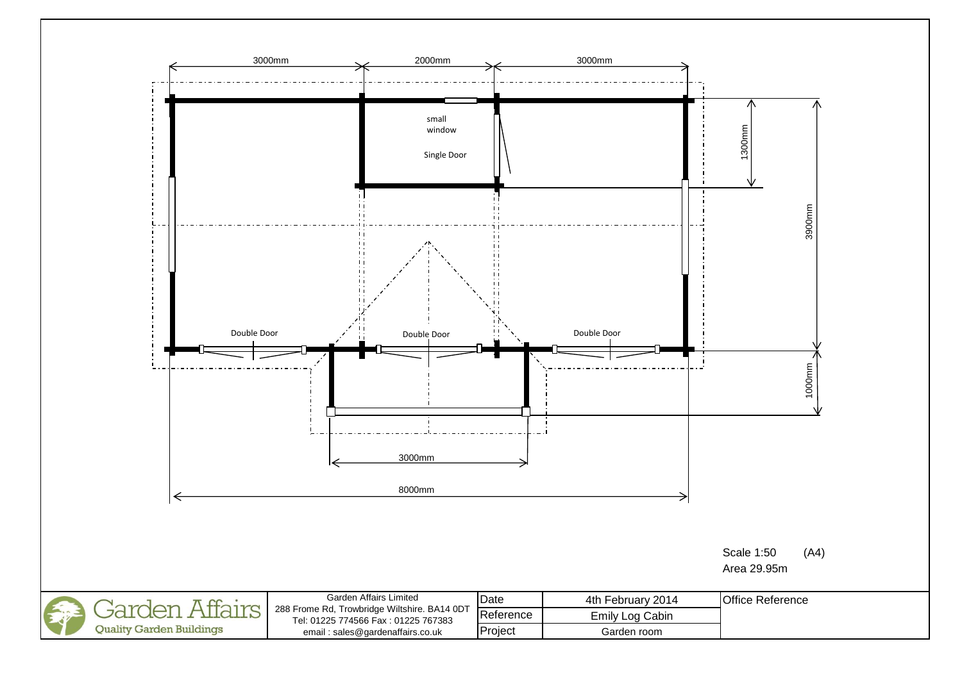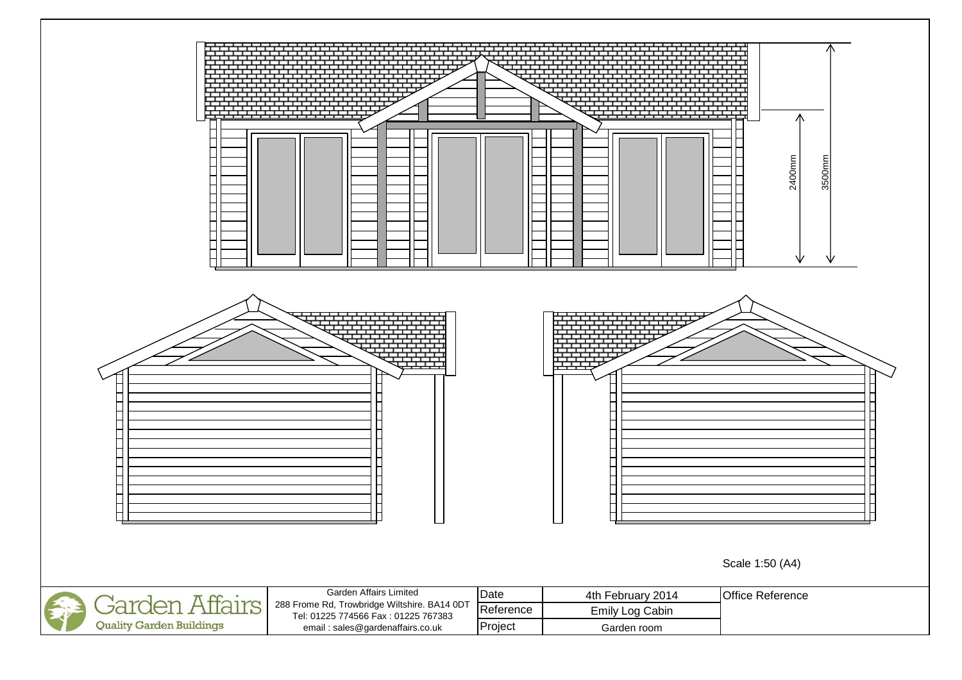